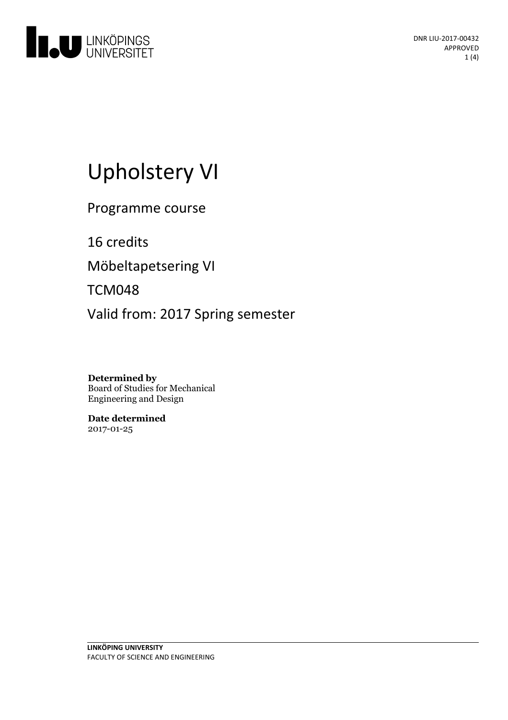

# Upholstery VI

Programme course

16 credits Möbeltapetsering VI

TCM048

Valid from: 2017 Spring semester

**Determined by** Board of Studies for Mechanical Engineering and Design

**Date determined** 2017-01-25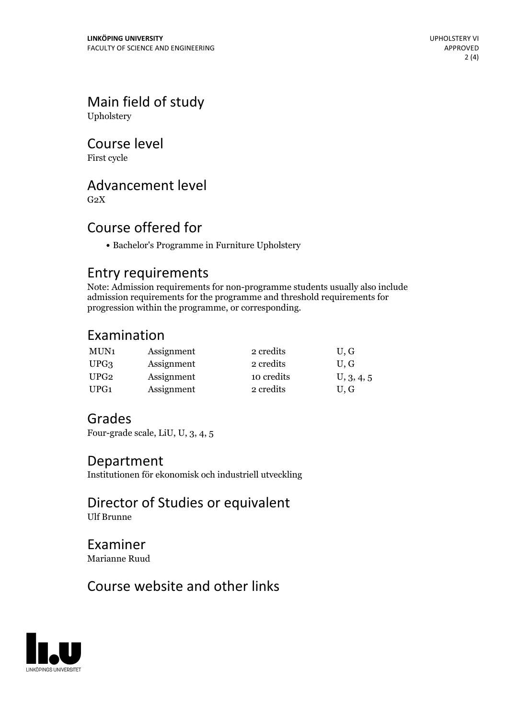## Main field of study

Upholstery

#### Course level

First cycle

#### Advancement level

 $G<sub>2</sub>X$ 

#### Course offered for

Bachelor's Programme in Furniture Upholstery

#### Entry requirements

Note: Admission requirements for non-programme students usually also include admission requirements for the programme and threshold requirements for progression within the programme, or corresponding.

#### Examination

| MUN1             | Assignment | 2 credits  | U, G       |
|------------------|------------|------------|------------|
| UPG3             | Assignment | 2 credits  | U.G        |
| UPG <sub>2</sub> | Assignment | 10 credits | U, 3, 4, 5 |
| UPG1             | Assignment | 2 credits  | U.G        |

#### Grades

Four-grade scale, LiU, U, 3, 4, 5

#### Department

Institutionen för ekonomisk och industriell utveckling

Director of Studies or equivalent Ulf Brunne

Examiner Marianne Ruud

#### Course website and other links

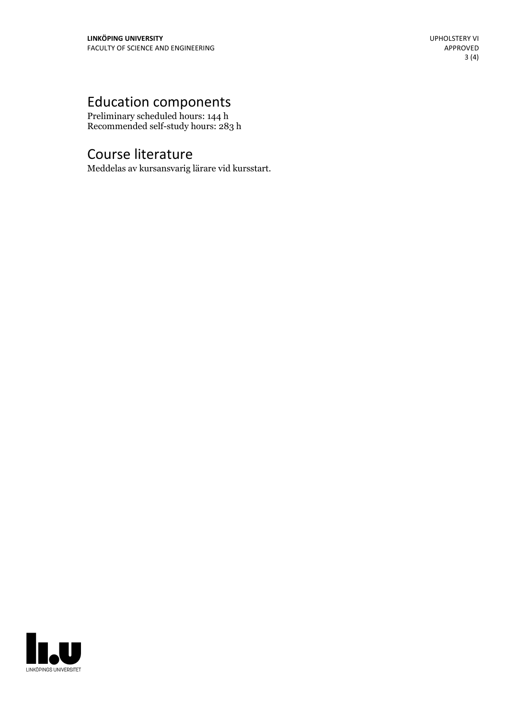### Education components

Preliminary scheduled hours: 144 h Recommended self-study hours: 283 h

#### Course literature

Meddelas av kursansvarig lärare vid kursstart.